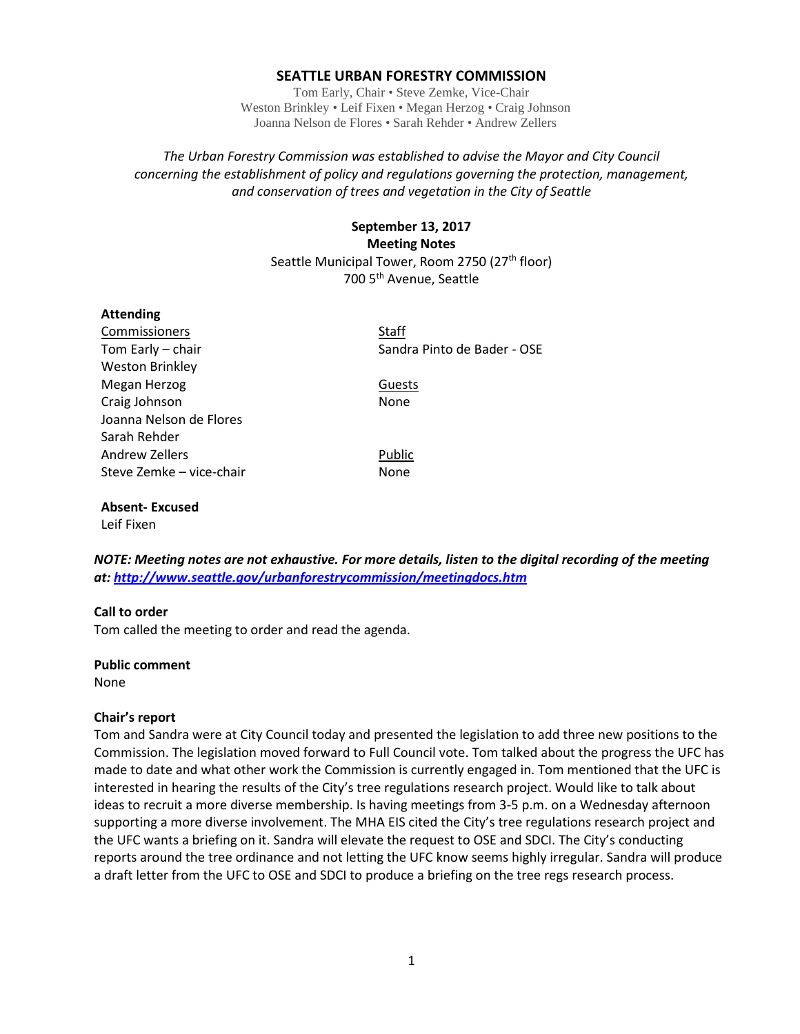### **SEATTLE URBAN FORESTRY COMMISSION**

Tom Early, Chair • Steve Zemke, Vice-Chair Weston Brinkley • Leif Fixen • Megan Herzog • Craig Johnson Joanna Nelson de Flores • Sarah Rehder • Andrew Zellers

*The Urban Forestry Commission was established to advise the Mayor and City Council concerning the establishment of policy and regulations governing the protection, management, and conservation of trees and vegetation in the City of Seattle*

> **September 13, 2017 Meeting Notes** Seattle Municipal Tower, Room 2750 (27<sup>th</sup> floor) 700 5th Avenue, Seattle

| <b>Attending</b>         |                             |
|--------------------------|-----------------------------|
| Commissioners            | Staff                       |
| Tom Early - chair        | Sandra Pinto de Bader - OSE |
| <b>Weston Brinkley</b>   |                             |
| Megan Herzog             | Guests                      |
| Craig Johnson            | None                        |
| Joanna Nelson de Flores  |                             |
| Sarah Rehder             |                             |
| Andrew Zellers           | Public                      |
| Steve Zemke - vice-chair | None                        |
|                          |                             |

**Absent- Excused** Leif Fixen

*NOTE: Meeting notes are not exhaustive. For more details, listen to the digital recording of the meeting at:<http://www.seattle.gov/urbanforestrycommission/meetingdocs.htm>*

#### **Call to order**

Tom called the meeting to order and read the agenda.

#### **Public comment**

None

#### **Chair's report**

Tom and Sandra were at City Council today and presented the legislation to add three new positions to the Commission. The legislation moved forward to Full Council vote. Tom talked about the progress the UFC has made to date and what other work the Commission is currently engaged in. Tom mentioned that the UFC is interested in hearing the results of the City's tree regulations research project. Would like to talk about ideas to recruit a more diverse membership. Is having meetings from 3-5 p.m. on a Wednesday afternoon supporting a more diverse involvement. The MHA EIS cited the City's tree regulations research project and the UFC wants a briefing on it. Sandra will elevate the request to OSE and SDCI. The City's conducting reports around the tree ordinance and not letting the UFC know seems highly irregular. Sandra will produce a draft letter from the UFC to OSE and SDCI to produce a briefing on the tree regs research process.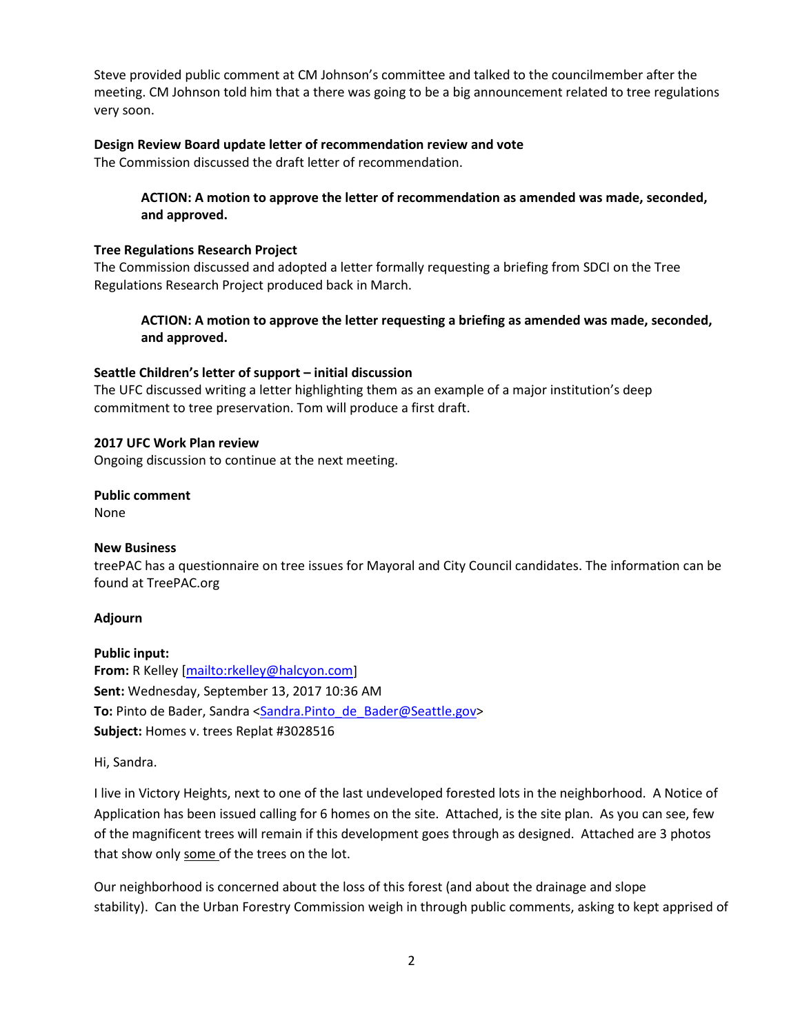Steve provided public comment at CM Johnson's committee and talked to the councilmember after the meeting. CM Johnson told him that a there was going to be a big announcement related to tree regulations very soon.

# **Design Review Board update letter of recommendation review and vote**

The Commission discussed the draft letter of recommendation.

# **ACTION: A motion to approve the letter of recommendation as amended was made, seconded, and approved.**

### **Tree Regulations Research Project**

The Commission discussed and adopted a letter formally requesting a briefing from SDCI on the Tree Regulations Research Project produced back in March.

**ACTION: A motion to approve the letter requesting a briefing as amended was made, seconded, and approved.**

### **Seattle Children's letter of support – initial discussion**

The UFC discussed writing a letter highlighting them as an example of a major institution's deep commitment to tree preservation. Tom will produce a first draft.

### **2017 UFC Work Plan review**

Ongoing discussion to continue at the next meeting.

# **Public comment**

None

# **New Business**

treePAC has a questionnaire on tree issues for Mayoral and City Council candidates. The information can be found at TreePAC.org

# **Adjourn**

**Public input: From:** R Kelley [\[mailto:rkelley@halcyon.com\]](mailto:rkelley@halcyon.com) **Sent:** Wednesday, September 13, 2017 10:36 AM To: Pinto de Bader, Sandra [<Sandra.Pinto\\_de\\_Bader@Seattle.gov>](mailto:Sandra.Pinto_de_Bader@Seattle.gov) **Subject:** Homes v. trees Replat #3028516

Hi, Sandra.

I live in Victory Heights, next to one of the last undeveloped forested lots in the neighborhood. A Notice of Application has been issued calling for 6 homes on the site. Attached, is the site plan. As you can see, few of the magnificent trees will remain if this development goes through as designed. Attached are 3 photos that show only some of the trees on the lot.

Our neighborhood is concerned about the loss of this forest (and about the drainage and slope stability). Can the Urban Forestry Commission weigh in through public comments, asking to kept apprised of